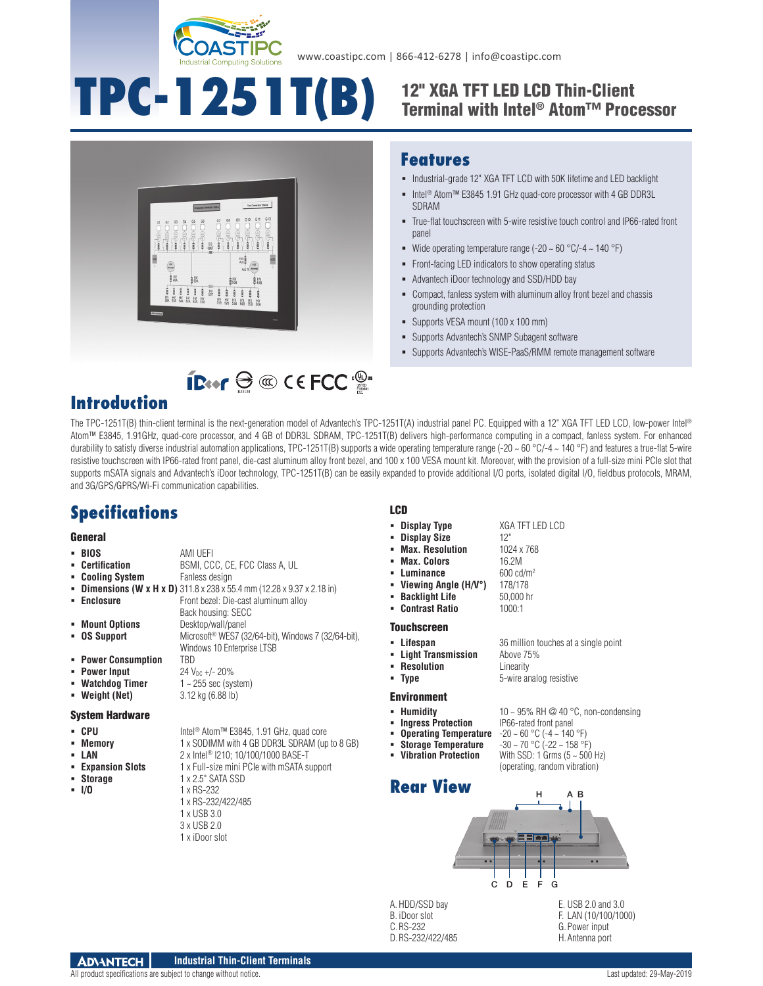

# **TPC-1251T(B)**

# $\sim$  $\begin{bmatrix} 50 \\ 80 \\ 10 \end{bmatrix}$  $\alpha$ **B** HV  $\hat{B}^{HV}_{SMA}$  $\hat{\mathbb{R}}$  HV 自HV

## 12" XGA TFT LED LCD Thin-Client Terminal with Intel® Atom™ Processor

## **Features**

- $\blacksquare$  Industrial-grade 12" XGA TFT LCD with 50K lifetime and LED backlight
- Intel® Atom™ E3845 1.91 GHz quad-core processor with 4 GB DDR3L SDRAM
- True-flat touchscreen with 5-wire resistive touch control and IP66-rated front panel
- Wide operating temperature range (-20  $\sim$  60 °C/-4  $\sim$  140 °F)
- Front-facing LED indicators to show operating status
- Advantech iDoor technology and SSD/HDD bay
- Compact, fanless system with aluminum alloy front bezel and chassis grounding protection
- Supports VESA mount (100 x 100 mm)
- Supports Advantech's SNMP Subagent software
- Supports Advantech's WISE-PaaS/RMM remote management software

# **IB**<sup>o</sup>  $\oplus$  **C** C ECC <sup>.</sup>

# **Introduction**

The TPC-1251T(B) thin-client terminal is the next-generation model of Advantech's TPC-1251T(A) industrial panel PC. Equipped with a 12" XGA TFT LED LCD, low-power Intel® Atom™ E3845, 1.91GHz, quad-core processor, and 4 GB of DDR3L SDRAM, TPC-1251T(B) delivers high-performance computing in a compact, fanless system. For enhanced durability to satisfy diverse industrial automation applications, TPC-1251T(B) supports a wide operating temperature range (-20  $\sim$  60 °C/-4  $\sim$  140 °F) and features a true-flat 5-wire resistive touchscreen with IP66-rated front panel, die-cast aluminum alloy front bezel, and 100 x 100 VESA mount kit. Moreover, with the provision of a full-size mini PCIe slot that supports mSATA signals and Advantech's iDoor technology, TPC-1251T(B) can be easily expanded to provide additional I/O ports, isolated digital I/O, fieldbus protocols, MRAM, and 3G/GPS/GPRS/Wi-Fi communication capabilities.

# **Specifications**

#### **General**

- **BIOS** AMI UEFI
- **Certification** BSMI, CCC, CE, FCC Class A, UL
- **Cooling System** Fanless design
- **Dimensions (W x H x D)** 311.8 x 238 x 55.4 mm (12.28 x 9.37 x 2.18 in)
- **Enclosure Enclosure Front bezel: Die-cast aluminum alloy**

**Mount Options** Desktop/wall/panel

- -
- 
- 
- 
- 

#### System Hardware

- CPU Intel<sup>®</sup> Atom™ E3845, 1.91 GHz, quad core
- **Memory** 1 x SODIMM with 4 GB DDR3L SDRAM (up to 8 GB)
- 
- 
- 
- 

 **OS Support** Microsoft® WES7 (32/64-bit), Windows 7 (32/64-bit), Windows 10 Enterprise LTSB

Back housing: SECC

- **Power Consumption FRD**<br>**Power Input** 24 V
	- **Power Input**  $24 V_{DC} +/- 20\%$ <br>**Watchdog Timer**  $1 \sim 255 \text{ sec (sys)}$
	- **Watchdog Timer** 1 ~ 255 sec (system)
- **Weight (Net)** 3.12 kg (6.88 lb)

- 
- 
- **LAN** 2 x Intel® I210; 10/100/1000 BASE-T<br>**Expansion Slots** 1 x Full-size mini PCIe with mSATA st
- **Expansion Slots** 1 x Full-size mini PCIe with mSATA support<br>**Expansion Slots** 1 x 2.5" SATA SSD
- 

 **Storage** 1 x 2.5" SATA SSD **I/O** 1 x RS-232

- 1 x RS-232/422/485
- 1 x USB 3.0
- 3 x USB 2.0
- 1 x iDoor slot

#### LCD

- **Display Type** XGA TFT LED LCD
- **Display Size** 12"<br>**Max. Resolution** 1024 x 768
- **Max. Resolution**
- **Max. Colors** 16.2M<br> **Luminance** 600 cd/m<sup>2</sup>
- Luminance
- **Viewing Angle (H/V°)** 178/178
- **Backlight Life** 50,000 hr<br> **Contrast Ratio** 1000:1
- **Contrast Ratio**

#### Touchscreen

- 
- 
- 
- **Resolution**<br>**Prope Resolution**<br>**Resolution**<br>**Resolution**

- 
- -
- **Operating Temperature<br>Storage Temperature**
- -





A. HDD/SSD bay B. iDoor slot C.RS-232 D.RS-232/422/485

E. USB 2.0 and 3.0 F. LAN (10/100/1000) G.Power input

H.Antenna port

- **Lifespan** 36 million touches at a single point **Light Transmission** Above 75%
	-

### Environment

- 
- -
- 
- 
- **With SSD: 1 Grms (5 ~ 500 Hz)** (operating, random vibration)
- 10 ~ 95% RH @ 40 °C, non-condensing<br>IP66-rated front panel **ID** Humidity 10 ~ 95% RH @ 40 °C, r<br> **Ingress Protection** 1P66-rated front panel<br> **IDerating Temperature** -20 ~ 60 °C (-4 ~ 140 °F)

**Type** 5-wire analog resistive

- 
- 
- **Storage Temperature**  $-30 \sim 70 \degree C$  (-22 ~ 158 °F)<br> **Vibration Protection** With SSD: 1 Grms (5 ~ 500
	- - A H B